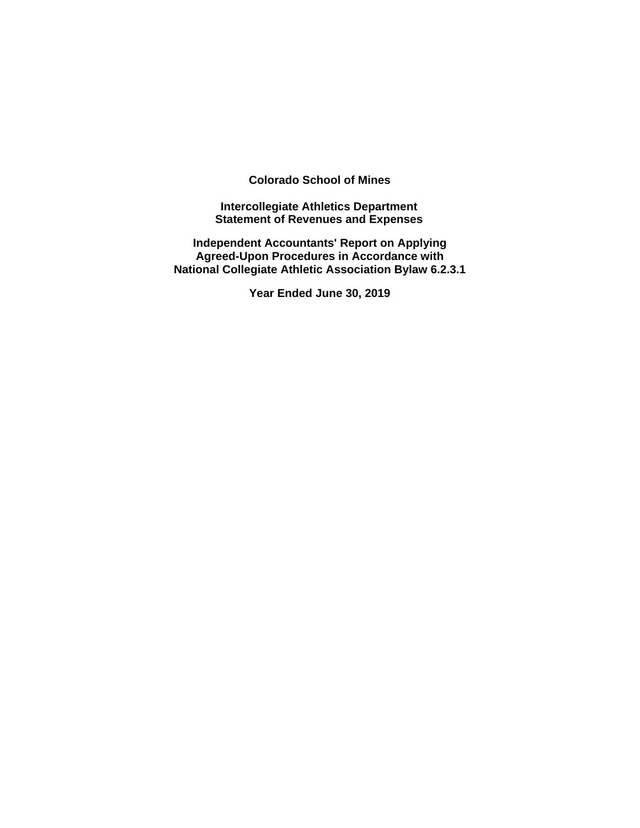**Colorado School of Mines** 

**Intercollegiate Athletics Department Statement of Revenues and Expenses** 

**Independent Accountants' Report on Applying Agreed-Upon Procedures in Accordance with National Collegiate Athletic Association Bylaw 6.2.3.1** 

**Year Ended June 30, 2019**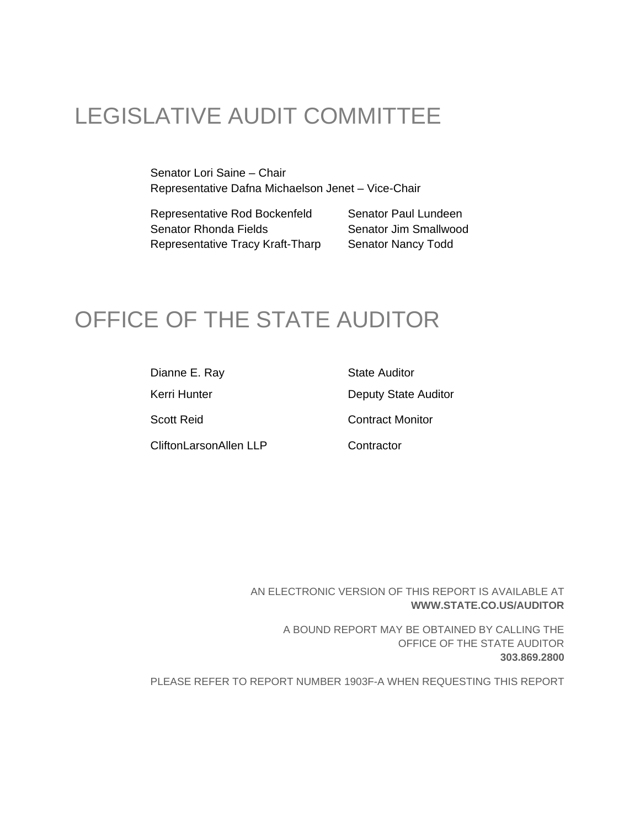# LEGISLATIVE AUDIT COMMITTEE

Senator Lori Saine – Chair Representative Dafna Michaelson Jenet – Vice-Chair

Representative Rod Bockenfeld Senator Paul Lundeen Senator Rhonda Fields Senator Jim Smallwood Representative Tracy Kraft-Tharp Senator Nancy Todd

## OFFICE OF THE STATE AUDITOR

Dianne E. Ray State Auditor Kerri Hunter **Deputy State Auditor** Scott Reid Contract Monitor CliftonLarsonAllen LLP Contractor

AN ELECTRONIC VERSION OF THIS REPORT IS AVAILABLE AT **WWW.STATE.CO.US/AUDITOR**

> A BOUND REPORT MAY BE OBTAINED BY CALLING THE OFFICE OF THE STATE AUDITOR **303.869.2800**

PLEASE REFER TO REPORT NUMBER 1903F-A WHEN REQUESTING THIS REPORT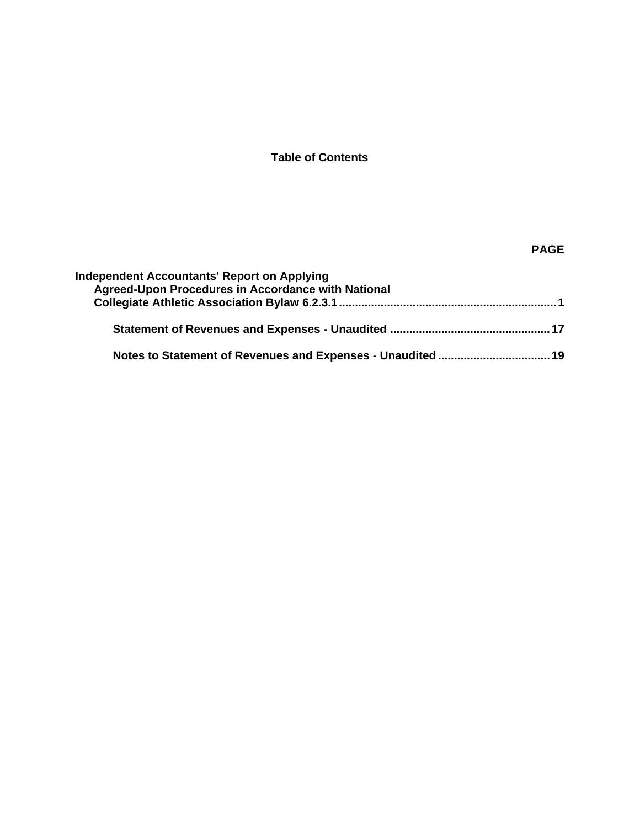## **Table of Contents**

## **PAGE**

| <b>Independent Accountants' Report on Applying</b><br>Agreed-Upon Procedures in Accordance with National |  |
|----------------------------------------------------------------------------------------------------------|--|
|                                                                                                          |  |
|                                                                                                          |  |
|                                                                                                          |  |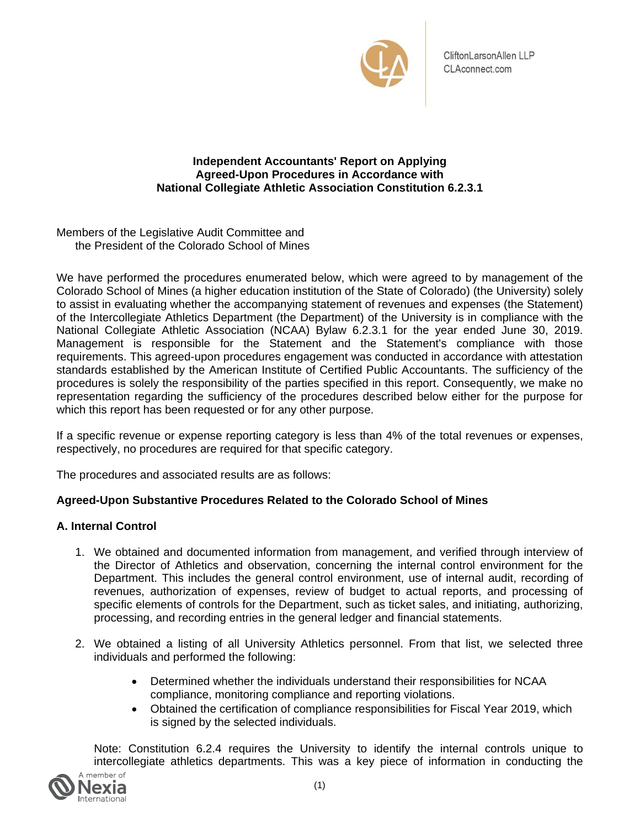

## **Independent Accountants' Report on Applying Agreed-Upon Procedures in Accordance with National Collegiate Athletic Association Constitution 6.2.3.1**

Members of the Legislative Audit Committee and the President of the Colorado School of Mines

We have performed the procedures enumerated below, which were agreed to by management of the Colorado School of Mines (a higher education institution of the State of Colorado) (the University) solely to assist in evaluating whether the accompanying statement of revenues and expenses (the Statement) of the Intercollegiate Athletics Department (the Department) of the University is in compliance with the National Collegiate Athletic Association (NCAA) Bylaw 6.2.3.1 for the year ended June 30, 2019. Management is responsible for the Statement and the Statement's compliance with those requirements. This agreed-upon procedures engagement was conducted in accordance with attestation standards established by the American Institute of Certified Public Accountants. The sufficiency of the procedures is solely the responsibility of the parties specified in this report. Consequently, we make no representation regarding the sufficiency of the procedures described below either for the purpose for which this report has been requested or for any other purpose.

If a specific revenue or expense reporting category is less than 4% of the total revenues or expenses, respectively, no procedures are required for that specific category.

The procedures and associated results are as follows:

## **Agreed-Upon Substantive Procedures Related to the Colorado School of Mines**

## **A. Internal Control**

- 1. We obtained and documented information from management, and verified through interview of the Director of Athletics and observation, concerning the internal control environment for the Department. This includes the general control environment, use of internal audit, recording of revenues, authorization of expenses, review of budget to actual reports, and processing of specific elements of controls for the Department, such as ticket sales, and initiating, authorizing, processing, and recording entries in the general ledger and financial statements.
- 2. We obtained a listing of all University Athletics personnel. From that list, we selected three individuals and performed the following:
	- Determined whether the individuals understand their responsibilities for NCAA compliance, monitoring compliance and reporting violations.
	- Obtained the certification of compliance responsibilities for Fiscal Year 2019, which is signed by the selected individuals.

Note: Constitution 6.2.4 requires the University to identify the internal controls unique to intercollegiate athletics departments. This was a key piece of information in conducting the

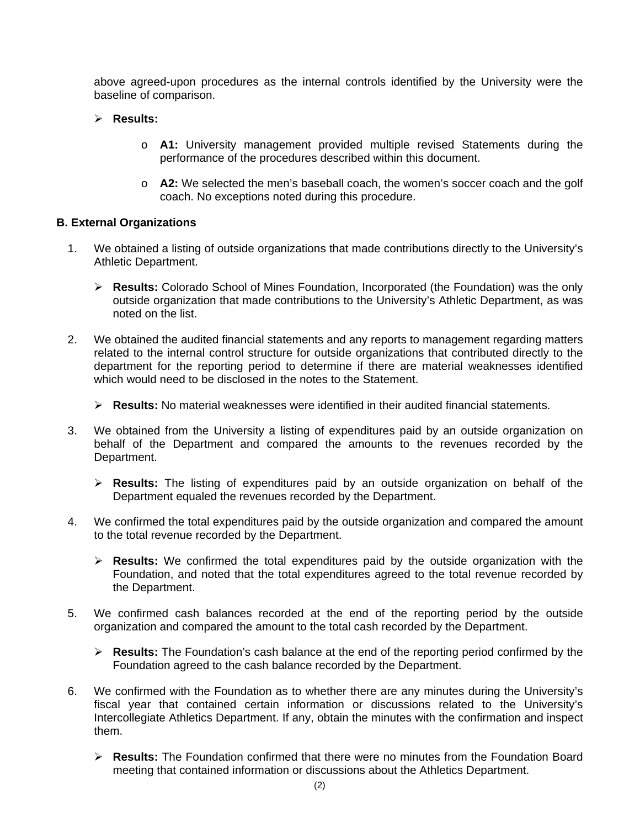above agreed-upon procedures as the internal controls identified by the University were the baseline of comparison.

## **Results:**

- o **A1:** University management provided multiple revised Statements during the performance of the procedures described within this document.
- o **A2:** We selected the men's baseball coach, the women's soccer coach and the golf coach. No exceptions noted during this procedure.

## **B. External Organizations**

- 1. We obtained a listing of outside organizations that made contributions directly to the University's Athletic Department.
	- **Results:** Colorado School of Mines Foundation, Incorporated (the Foundation) was the only outside organization that made contributions to the University's Athletic Department, as was noted on the list.
- 2. We obtained the audited financial statements and any reports to management regarding matters related to the internal control structure for outside organizations that contributed directly to the department for the reporting period to determine if there are material weaknesses identified which would need to be disclosed in the notes to the Statement.
	- **Results:** No material weaknesses were identified in their audited financial statements.
- 3. We obtained from the University a listing of expenditures paid by an outside organization on behalf of the Department and compared the amounts to the revenues recorded by the Department.
	- **Results:** The listing of expenditures paid by an outside organization on behalf of the Department equaled the revenues recorded by the Department.
- 4. We confirmed the total expenditures paid by the outside organization and compared the amount to the total revenue recorded by the Department.
	- **Results:** We confirmed the total expenditures paid by the outside organization with the Foundation, and noted that the total expenditures agreed to the total revenue recorded by the Department.
- 5. We confirmed cash balances recorded at the end of the reporting period by the outside organization and compared the amount to the total cash recorded by the Department.
	- **Results:** The Foundation's cash balance at the end of the reporting period confirmed by the Foundation agreed to the cash balance recorded by the Department.
- 6. We confirmed with the Foundation as to whether there are any minutes during the University's fiscal year that contained certain information or discussions related to the University's Intercollegiate Athletics Department. If any, obtain the minutes with the confirmation and inspect them.
	- **Results:** The Foundation confirmed that there were no minutes from the Foundation Board meeting that contained information or discussions about the Athletics Department.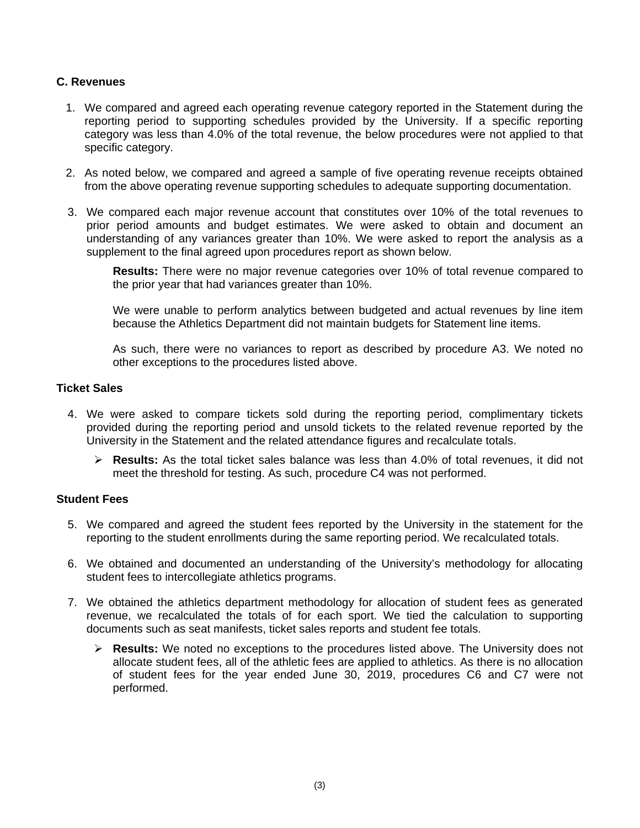## **C. Revenues**

- 1. We compared and agreed each operating revenue category reported in the Statement during the reporting period to supporting schedules provided by the University. If a specific reporting category was less than 4.0% of the total revenue, the below procedures were not applied to that specific category.
- 2. As noted below, we compared and agreed a sample of five operating revenue receipts obtained from the above operating revenue supporting schedules to adequate supporting documentation.
- 3. We compared each major revenue account that constitutes over 10% of the total revenues to prior period amounts and budget estimates. We were asked to obtain and document an understanding of any variances greater than 10%. We were asked to report the analysis as a supplement to the final agreed upon procedures report as shown below.

**Results:** There were no major revenue categories over 10% of total revenue compared to the prior year that had variances greater than 10%.

We were unable to perform analytics between budgeted and actual revenues by line item because the Athletics Department did not maintain budgets for Statement line items.

As such, there were no variances to report as described by procedure A3. We noted no other exceptions to the procedures listed above.

## **Ticket Sales**

- 4. We were asked to compare tickets sold during the reporting period, complimentary tickets provided during the reporting period and unsold tickets to the related revenue reported by the University in the Statement and the related attendance figures and recalculate totals.
	- **Results:** As the total ticket sales balance was less than 4.0% of total revenues, it did not meet the threshold for testing. As such, procedure C4 was not performed.

## **Student Fees**

- 5. We compared and agreed the student fees reported by the University in the statement for the reporting to the student enrollments during the same reporting period. We recalculated totals.
- 6. We obtained and documented an understanding of the University's methodology for allocating student fees to intercollegiate athletics programs.
- 7. We obtained the athletics department methodology for allocation of student fees as generated revenue, we recalculated the totals of for each sport. We tied the calculation to supporting documents such as seat manifests, ticket sales reports and student fee totals.
	- **Results:** We noted no exceptions to the procedures listed above. The University does not allocate student fees, all of the athletic fees are applied to athletics. As there is no allocation of student fees for the year ended June 30, 2019, procedures C6 and C7 were not performed.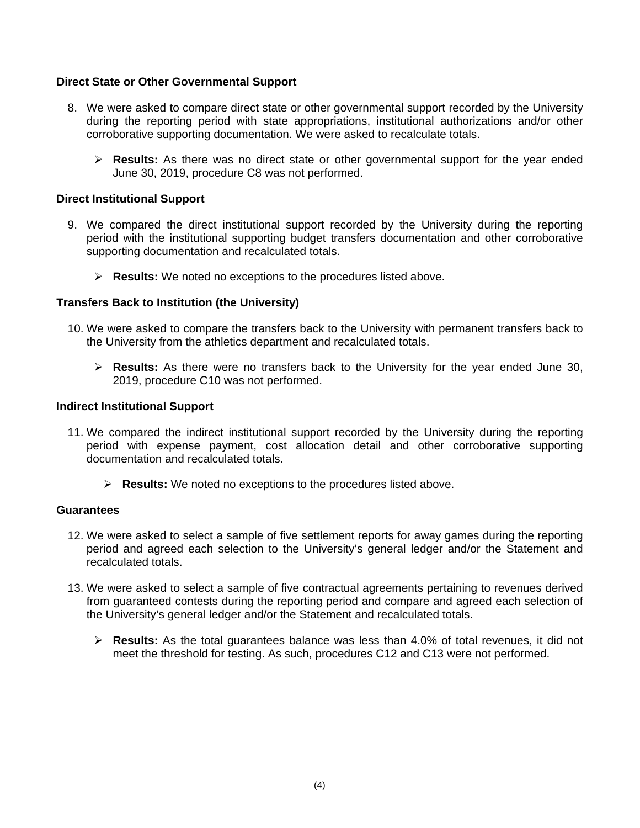## **Direct State or Other Governmental Support**

- 8. We were asked to compare direct state or other governmental support recorded by the University during the reporting period with state appropriations, institutional authorizations and/or other corroborative supporting documentation. We were asked to recalculate totals.
	- **Results:** As there was no direct state or other governmental support for the year ended June 30, 2019, procedure C8 was not performed.

#### **Direct Institutional Support**

- 9. We compared the direct institutional support recorded by the University during the reporting period with the institutional supporting budget transfers documentation and other corroborative supporting documentation and recalculated totals.
	- **Results:** We noted no exceptions to the procedures listed above.

#### **Transfers Back to Institution (the University)**

- 10. We were asked to compare the transfers back to the University with permanent transfers back to the University from the athletics department and recalculated totals.
	- **Results:** As there were no transfers back to the University for the year ended June 30, 2019, procedure C10 was not performed.

#### **Indirect Institutional Support**

- 11. We compared the indirect institutional support recorded by the University during the reporting period with expense payment, cost allocation detail and other corroborative supporting documentation and recalculated totals.
	- **Results:** We noted no exceptions to the procedures listed above.

#### **Guarantees**

- 12. We were asked to select a sample of five settlement reports for away games during the reporting period and agreed each selection to the University's general ledger and/or the Statement and recalculated totals.
- 13. We were asked to select a sample of five contractual agreements pertaining to revenues derived from guaranteed contests during the reporting period and compare and agreed each selection of the University's general ledger and/or the Statement and recalculated totals.
	- **Results:** As the total guarantees balance was less than 4.0% of total revenues, it did not meet the threshold for testing. As such, procedures C12 and C13 were not performed.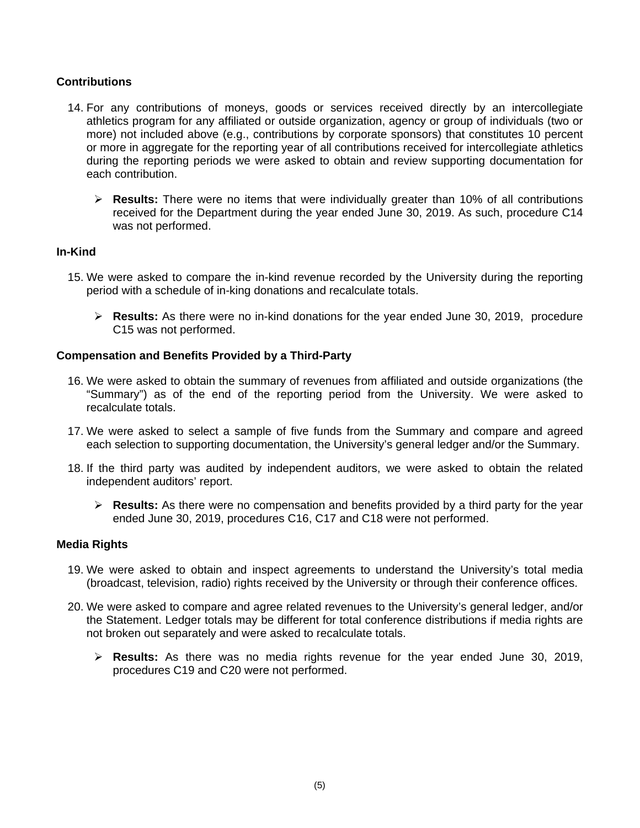## **Contributions**

- 14. For any contributions of moneys, goods or services received directly by an intercollegiate athletics program for any affiliated or outside organization, agency or group of individuals (two or more) not included above (e.g., contributions by corporate sponsors) that constitutes 10 percent or more in aggregate for the reporting year of all contributions received for intercollegiate athletics during the reporting periods we were asked to obtain and review supporting documentation for each contribution.
	- **Results:** There were no items that were individually greater than 10% of all contributions received for the Department during the year ended June 30, 2019. As such, procedure C14 was not performed.

#### **In-Kind**

- 15. We were asked to compare the in-kind revenue recorded by the University during the reporting period with a schedule of in-king donations and recalculate totals.
	- **Results:** As there were no in-kind donations for the year ended June 30, 2019, procedure C15 was not performed.

## **Compensation and Benefits Provided by a Third-Party**

- 16. We were asked to obtain the summary of revenues from affiliated and outside organizations (the "Summary") as of the end of the reporting period from the University. We were asked to recalculate totals.
- 17. We were asked to select a sample of five funds from the Summary and compare and agreed each selection to supporting documentation, the University's general ledger and/or the Summary.
- 18. If the third party was audited by independent auditors, we were asked to obtain the related independent auditors' report.
	- **Results:** As there were no compensation and benefits provided by a third party for the year ended June 30, 2019, procedures C16, C17 and C18 were not performed.

#### **Media Rights**

- 19. We were asked to obtain and inspect agreements to understand the University's total media (broadcast, television, radio) rights received by the University or through their conference offices.
- 20. We were asked to compare and agree related revenues to the University's general ledger, and/or the Statement. Ledger totals may be different for total conference distributions if media rights are not broken out separately and were asked to recalculate totals.
	- **Results:** As there was no media rights revenue for the year ended June 30, 2019, procedures C19 and C20 were not performed.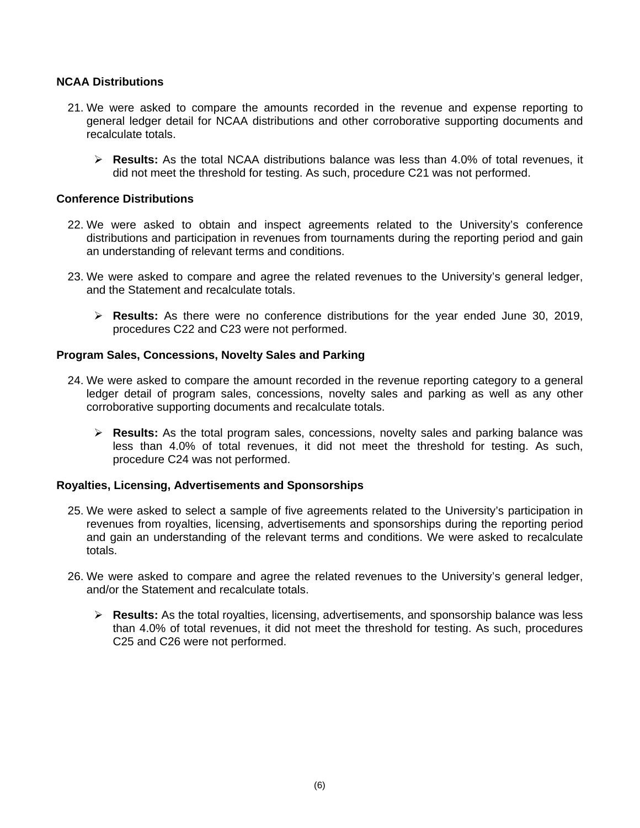## **NCAA Distributions**

- 21. We were asked to compare the amounts recorded in the revenue and expense reporting to general ledger detail for NCAA distributions and other corroborative supporting documents and recalculate totals.
	- **Results:** As the total NCAA distributions balance was less than 4.0% of total revenues, it did not meet the threshold for testing. As such, procedure C21 was not performed.

#### **Conference Distributions**

- 22. We were asked to obtain and inspect agreements related to the University's conference distributions and participation in revenues from tournaments during the reporting period and gain an understanding of relevant terms and conditions.
- 23. We were asked to compare and agree the related revenues to the University's general ledger, and the Statement and recalculate totals.
	- **Results:** As there were no conference distributions for the year ended June 30, 2019, procedures C22 and C23 were not performed.

#### **Program Sales, Concessions, Novelty Sales and Parking**

- 24. We were asked to compare the amount recorded in the revenue reporting category to a general ledger detail of program sales, concessions, novelty sales and parking as well as any other corroborative supporting documents and recalculate totals.
	- **Results:** As the total program sales, concessions, novelty sales and parking balance was less than 4.0% of total revenues, it did not meet the threshold for testing. As such, procedure C24 was not performed.

#### **Royalties, Licensing, Advertisements and Sponsorships**

- 25. We were asked to select a sample of five agreements related to the University's participation in revenues from royalties, licensing, advertisements and sponsorships during the reporting period and gain an understanding of the relevant terms and conditions. We were asked to recalculate totals.
- 26. We were asked to compare and agree the related revenues to the University's general ledger, and/or the Statement and recalculate totals.
	- **Results:** As the total royalties, licensing, advertisements, and sponsorship balance was less than 4.0% of total revenues, it did not meet the threshold for testing. As such, procedures C25 and C26 were not performed.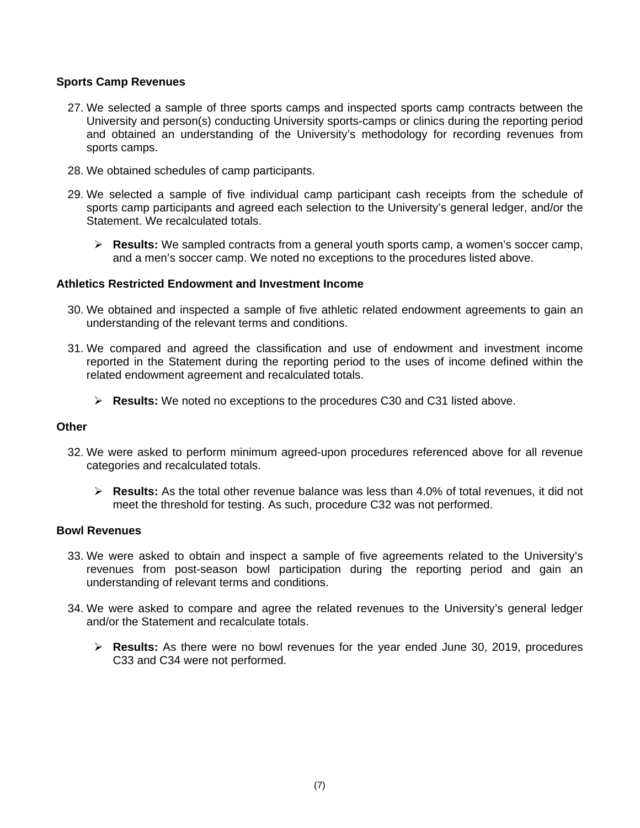## **Sports Camp Revenues**

- 27. We selected a sample of three sports camps and inspected sports camp contracts between the University and person(s) conducting University sports-camps or clinics during the reporting period and obtained an understanding of the University's methodology for recording revenues from sports camps.
- 28. We obtained schedules of camp participants.
- 29. We selected a sample of five individual camp participant cash receipts from the schedule of sports camp participants and agreed each selection to the University's general ledger, and/or the Statement. We recalculated totals.
	- **Results:** We sampled contracts from a general youth sports camp, a women's soccer camp, and a men's soccer camp. We noted no exceptions to the procedures listed above.

#### **Athletics Restricted Endowment and Investment Income**

- 30. We obtained and inspected a sample of five athletic related endowment agreements to gain an understanding of the relevant terms and conditions.
- 31. We compared and agreed the classification and use of endowment and investment income reported in the Statement during the reporting period to the uses of income defined within the related endowment agreement and recalculated totals.
	- **Results:** We noted no exceptions to the procedures C30 and C31 listed above.

## **Other**

- 32. We were asked to perform minimum agreed-upon procedures referenced above for all revenue categories and recalculated totals.
	- **Results:** As the total other revenue balance was less than 4.0% of total revenues, it did not meet the threshold for testing. As such, procedure C32 was not performed.

#### **Bowl Revenues**

- 33. We were asked to obtain and inspect a sample of five agreements related to the University's revenues from post-season bowl participation during the reporting period and gain an understanding of relevant terms and conditions.
- 34. We were asked to compare and agree the related revenues to the University's general ledger and/or the Statement and recalculate totals.
	- **Results:** As there were no bowl revenues for the year ended June 30, 2019, procedures C33 and C34 were not performed.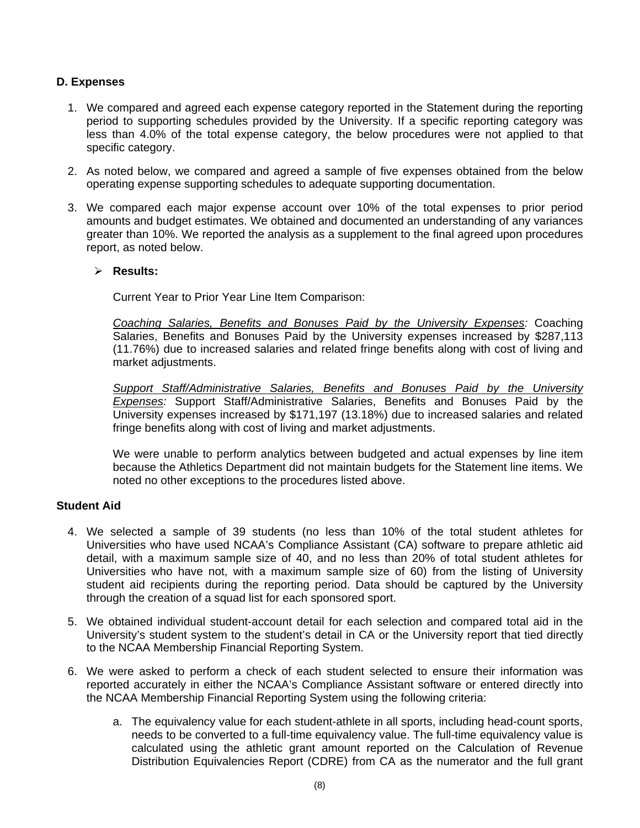## **D. Expenses**

- 1. We compared and agreed each expense category reported in the Statement during the reporting period to supporting schedules provided by the University. If a specific reporting category was less than 4.0% of the total expense category, the below procedures were not applied to that specific category.
- 2. As noted below, we compared and agreed a sample of five expenses obtained from the below operating expense supporting schedules to adequate supporting documentation.
- 3. We compared each major expense account over 10% of the total expenses to prior period amounts and budget estimates. We obtained and documented an understanding of any variances greater than 10%. We reported the analysis as a supplement to the final agreed upon procedures report, as noted below.

## **Results:**

Current Year to Prior Year Line Item Comparison:

*Coaching Salaries, Benefits and Bonuses Paid by the University Expenses:* Coaching Salaries, Benefits and Bonuses Paid by the University expenses increased by \$287,113 (11.76%) due to increased salaries and related fringe benefits along with cost of living and market adjustments.

*Support Staff/Administrative Salaries, Benefits and Bonuses Paid by the University Expenses:* Support Staff/Administrative Salaries, Benefits and Bonuses Paid by the University expenses increased by \$171,197 (13.18%) due to increased salaries and related fringe benefits along with cost of living and market adjustments.

We were unable to perform analytics between budgeted and actual expenses by line item because the Athletics Department did not maintain budgets for the Statement line items. We noted no other exceptions to the procedures listed above.

## **Student Aid**

- 4. We selected a sample of 39 students (no less than 10% of the total student athletes for Universities who have used NCAA's Compliance Assistant (CA) software to prepare athletic aid detail, with a maximum sample size of 40, and no less than 20% of total student athletes for Universities who have not, with a maximum sample size of 60) from the listing of University student aid recipients during the reporting period. Data should be captured by the University through the creation of a squad list for each sponsored sport.
- 5. We obtained individual student-account detail for each selection and compared total aid in the University's student system to the student's detail in CA or the University report that tied directly to the NCAA Membership Financial Reporting System.
- 6. We were asked to perform a check of each student selected to ensure their information was reported accurately in either the NCAA's Compliance Assistant software or entered directly into the NCAA Membership Financial Reporting System using the following criteria:
	- a. The equivalency value for each student-athlete in all sports, including head-count sports, needs to be converted to a full-time equivalency value. The full-time equivalency value is calculated using the athletic grant amount reported on the Calculation of Revenue Distribution Equivalencies Report (CDRE) from CA as the numerator and the full grant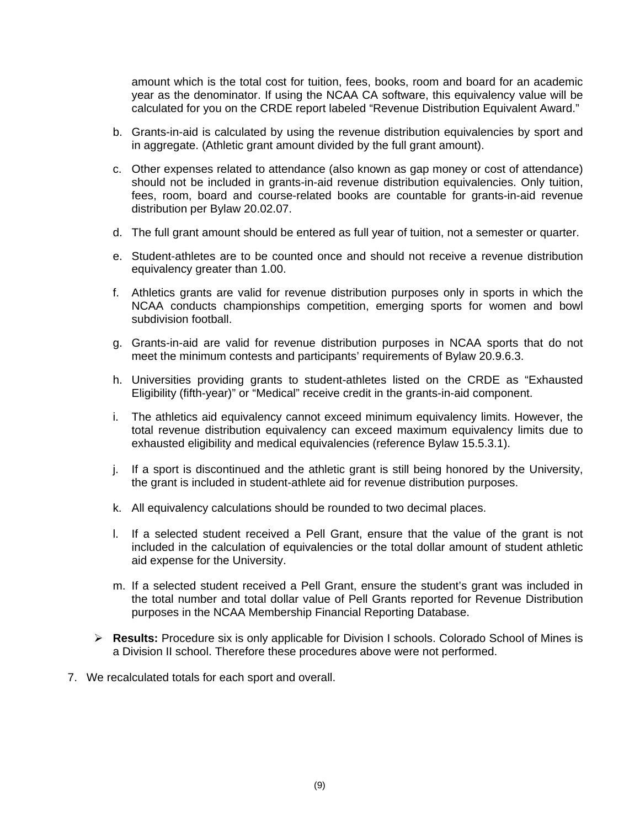amount which is the total cost for tuition, fees, books, room and board for an academic year as the denominator. If using the NCAA CA software, this equivalency value will be calculated for you on the CRDE report labeled "Revenue Distribution Equivalent Award."

- b. Grants-in-aid is calculated by using the revenue distribution equivalencies by sport and in aggregate. (Athletic grant amount divided by the full grant amount).
- c. Other expenses related to attendance (also known as gap money or cost of attendance) should not be included in grants-in-aid revenue distribution equivalencies. Only tuition, fees, room, board and course-related books are countable for grants-in-aid revenue distribution per Bylaw 20.02.07.
- d. The full grant amount should be entered as full year of tuition, not a semester or quarter.
- e. Student-athletes are to be counted once and should not receive a revenue distribution equivalency greater than 1.00.
- f. Athletics grants are valid for revenue distribution purposes only in sports in which the NCAA conducts championships competition, emerging sports for women and bowl subdivision football.
- g. Grants-in-aid are valid for revenue distribution purposes in NCAA sports that do not meet the minimum contests and participants' requirements of Bylaw 20.9.6.3.
- h. Universities providing grants to student-athletes listed on the CRDE as "Exhausted Eligibility (fifth-year)" or "Medical" receive credit in the grants-in-aid component.
- i. The athletics aid equivalency cannot exceed minimum equivalency limits. However, the total revenue distribution equivalency can exceed maximum equivalency limits due to exhausted eligibility and medical equivalencies (reference Bylaw 15.5.3.1).
- j. If a sport is discontinued and the athletic grant is still being honored by the University, the grant is included in student-athlete aid for revenue distribution purposes.
- k. All equivalency calculations should be rounded to two decimal places.
- l. If a selected student received a Pell Grant, ensure that the value of the grant is not included in the calculation of equivalencies or the total dollar amount of student athletic aid expense for the University.
- m. If a selected student received a Pell Grant, ensure the student's grant was included in the total number and total dollar value of Pell Grants reported for Revenue Distribution purposes in the NCAA Membership Financial Reporting Database.
- **Results:** Procedure six is only applicable for Division I schools. Colorado School of Mines is a Division II school. Therefore these procedures above were not performed.
- 7. We recalculated totals for each sport and overall.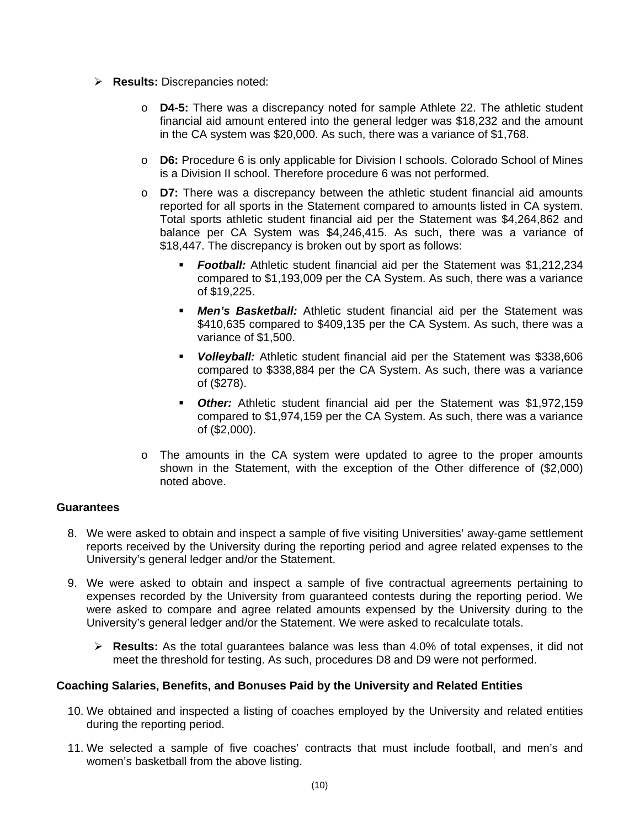- **Results:** Discrepancies noted:
	- o **D4-5:** There was a discrepancy noted for sample Athlete 22. The athletic student financial aid amount entered into the general ledger was \$18,232 and the amount in the CA system was \$20,000. As such, there was a variance of \$1,768.
	- o **D6:** Procedure 6 is only applicable for Division I schools. Colorado School of Mines is a Division II school. Therefore procedure 6 was not performed.
	- o **D7:** There was a discrepancy between the athletic student financial aid amounts reported for all sports in the Statement compared to amounts listed in CA system. Total sports athletic student financial aid per the Statement was \$4,264,862 and balance per CA System was \$4,246,415. As such, there was a variance of \$18,447. The discrepancy is broken out by sport as follows:
		- **Football:** Athletic student financial aid per the Statement was \$1,212,234 compared to \$1,193,009 per the CA System. As such, there was a variance of \$19,225.
		- *Men's Basketball:* Athletic student financial aid per the Statement was \$410,635 compared to \$409,135 per the CA System. As such, there was a variance of \$1,500.
		- *Volleyball:* Athletic student financial aid per the Statement was \$338,606 compared to \$338,884 per the CA System. As such, there was a variance of (\$278).
		- *Other:* Athletic student financial aid per the Statement was \$1,972,159 compared to \$1,974,159 per the CA System. As such, there was a variance of (\$2,000).
	- o The amounts in the CA system were updated to agree to the proper amounts shown in the Statement, with the exception of the Other difference of (\$2,000) noted above.

## **Guarantees**

- 8. We were asked to obtain and inspect a sample of five visiting Universities' away-game settlement reports received by the University during the reporting period and agree related expenses to the University's general ledger and/or the Statement.
- 9. We were asked to obtain and inspect a sample of five contractual agreements pertaining to expenses recorded by the University from guaranteed contests during the reporting period. We were asked to compare and agree related amounts expensed by the University during to the University's general ledger and/or the Statement. We were asked to recalculate totals.
	- **Results:** As the total guarantees balance was less than 4.0% of total expenses, it did not meet the threshold for testing. As such, procedures D8 and D9 were not performed.

#### **Coaching Salaries, Benefits, and Bonuses Paid by the University and Related Entities**

- 10. We obtained and inspected a listing of coaches employed by the University and related entities during the reporting period.
- 11. We selected a sample of five coaches' contracts that must include football, and men's and women's basketball from the above listing.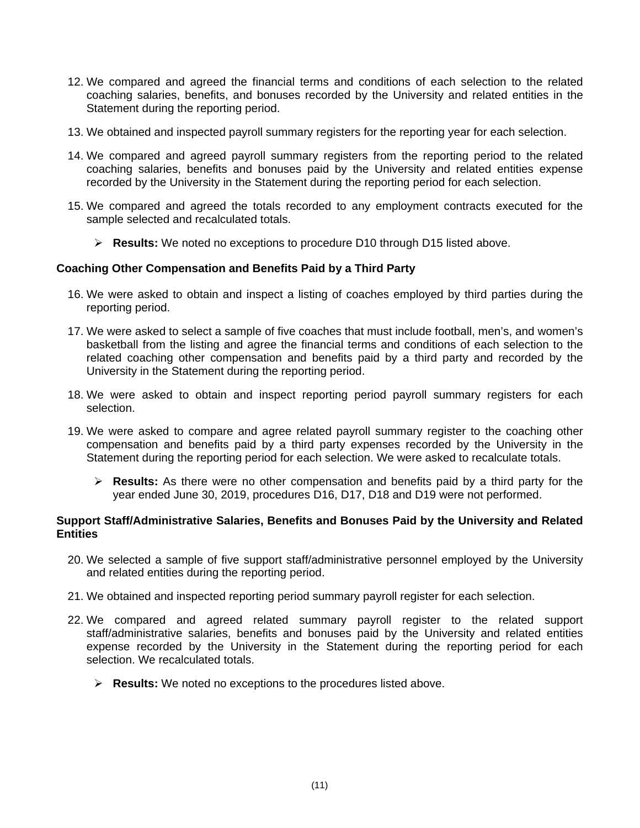- 12. We compared and agreed the financial terms and conditions of each selection to the related coaching salaries, benefits, and bonuses recorded by the University and related entities in the Statement during the reporting period.
- 13. We obtained and inspected payroll summary registers for the reporting year for each selection.
- 14. We compared and agreed payroll summary registers from the reporting period to the related coaching salaries, benefits and bonuses paid by the University and related entities expense recorded by the University in the Statement during the reporting period for each selection.
- 15. We compared and agreed the totals recorded to any employment contracts executed for the sample selected and recalculated totals.
	- **Results:** We noted no exceptions to procedure D10 through D15 listed above.

## **Coaching Other Compensation and Benefits Paid by a Third Party**

- 16. We were asked to obtain and inspect a listing of coaches employed by third parties during the reporting period.
- 17. We were asked to select a sample of five coaches that must include football, men's, and women's basketball from the listing and agree the financial terms and conditions of each selection to the related coaching other compensation and benefits paid by a third party and recorded by the University in the Statement during the reporting period.
- 18. We were asked to obtain and inspect reporting period payroll summary registers for each selection.
- 19. We were asked to compare and agree related payroll summary register to the coaching other compensation and benefits paid by a third party expenses recorded by the University in the Statement during the reporting period for each selection. We were asked to recalculate totals.
	- **Results:** As there were no other compensation and benefits paid by a third party for the year ended June 30, 2019, procedures D16, D17, D18 and D19 were not performed.

## **Support Staff/Administrative Salaries, Benefits and Bonuses Paid by the University and Related Entities**

- 20. We selected a sample of five support staff/administrative personnel employed by the University and related entities during the reporting period.
- 21. We obtained and inspected reporting period summary payroll register for each selection.
- 22. We compared and agreed related summary payroll register to the related support staff/administrative salaries, benefits and bonuses paid by the University and related entities expense recorded by the University in the Statement during the reporting period for each selection. We recalculated totals.
	- **Results:** We noted no exceptions to the procedures listed above.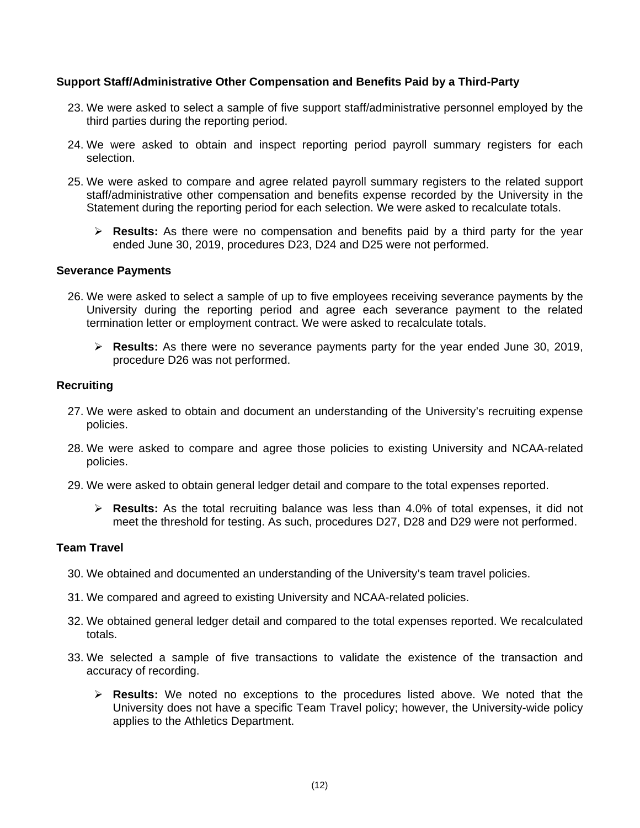## **Support Staff/Administrative Other Compensation and Benefits Paid by a Third-Party**

- 23. We were asked to select a sample of five support staff/administrative personnel employed by the third parties during the reporting period.
- 24. We were asked to obtain and inspect reporting period payroll summary registers for each selection.
- 25. We were asked to compare and agree related payroll summary registers to the related support staff/administrative other compensation and benefits expense recorded by the University in the Statement during the reporting period for each selection. We were asked to recalculate totals.
	- **Results:** As there were no compensation and benefits paid by a third party for the year ended June 30, 2019, procedures D23, D24 and D25 were not performed.

#### **Severance Payments**

- 26. We were asked to select a sample of up to five employees receiving severance payments by the University during the reporting period and agree each severance payment to the related termination letter or employment contract. We were asked to recalculate totals.
	- **Results:** As there were no severance payments party for the year ended June 30, 2019, procedure D26 was not performed.

#### **Recruiting**

- 27. We were asked to obtain and document an understanding of the University's recruiting expense policies.
- 28. We were asked to compare and agree those policies to existing University and NCAA-related policies.
- 29. We were asked to obtain general ledger detail and compare to the total expenses reported.
	- **Results:** As the total recruiting balance was less than 4.0% of total expenses, it did not meet the threshold for testing. As such, procedures D27, D28 and D29 were not performed.

## **Team Travel**

- 30. We obtained and documented an understanding of the University's team travel policies.
- 31. We compared and agreed to existing University and NCAA-related policies.
- 32. We obtained general ledger detail and compared to the total expenses reported. We recalculated totals.
- 33. We selected a sample of five transactions to validate the existence of the transaction and accuracy of recording.
	- **Results:** We noted no exceptions to the procedures listed above. We noted that the University does not have a specific Team Travel policy; however, the University-wide policy applies to the Athletics Department.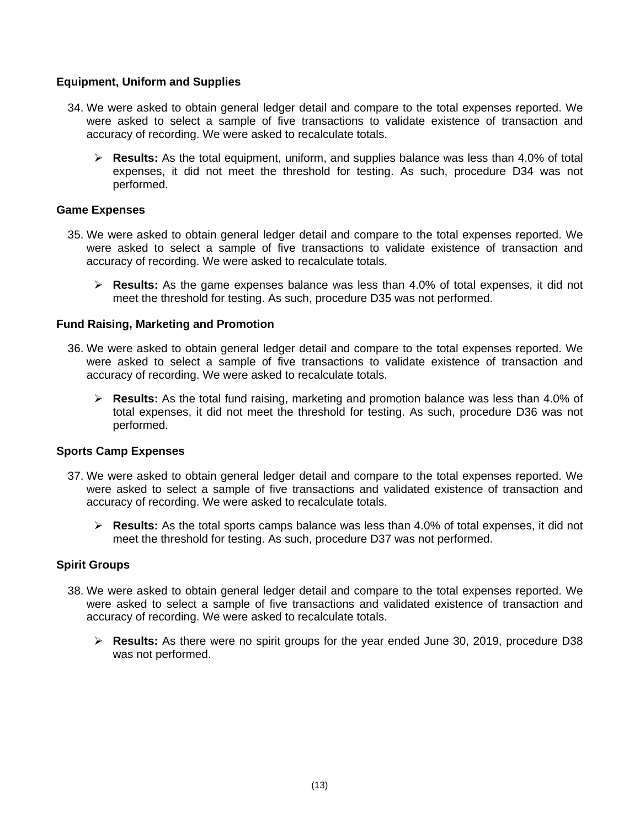## **Equipment, Uniform and Supplies**

- 34. We were asked to obtain general ledger detail and compare to the total expenses reported. We were asked to select a sample of five transactions to validate existence of transaction and accuracy of recording. We were asked to recalculate totals.
	- **Results:** As the total equipment, uniform, and supplies balance was less than 4.0% of total expenses, it did not meet the threshold for testing. As such, procedure D34 was not performed.

#### **Game Expenses**

- 35. We were asked to obtain general ledger detail and compare to the total expenses reported. We were asked to select a sample of five transactions to validate existence of transaction and accuracy of recording. We were asked to recalculate totals.
	- **Results:** As the game expenses balance was less than 4.0% of total expenses, it did not meet the threshold for testing. As such, procedure D35 was not performed.

#### **Fund Raising, Marketing and Promotion**

- 36. We were asked to obtain general ledger detail and compare to the total expenses reported. We were asked to select a sample of five transactions to validate existence of transaction and accuracy of recording. We were asked to recalculate totals.
	- **Results:** As the total fund raising, marketing and promotion balance was less than 4.0% of total expenses, it did not meet the threshold for testing. As such, procedure D36 was not performed.

#### **Sports Camp Expenses**

- 37. We were asked to obtain general ledger detail and compare to the total expenses reported. We were asked to select a sample of five transactions and validated existence of transaction and accuracy of recording. We were asked to recalculate totals.
	- **Results:** As the total sports camps balance was less than 4.0% of total expenses, it did not meet the threshold for testing. As such, procedure D37 was not performed.

## **Spirit Groups**

- 38. We were asked to obtain general ledger detail and compare to the total expenses reported. We were asked to select a sample of five transactions and validated existence of transaction and accuracy of recording. We were asked to recalculate totals.
	- **Results:** As there were no spirit groups for the year ended June 30, 2019, procedure D38 was not performed.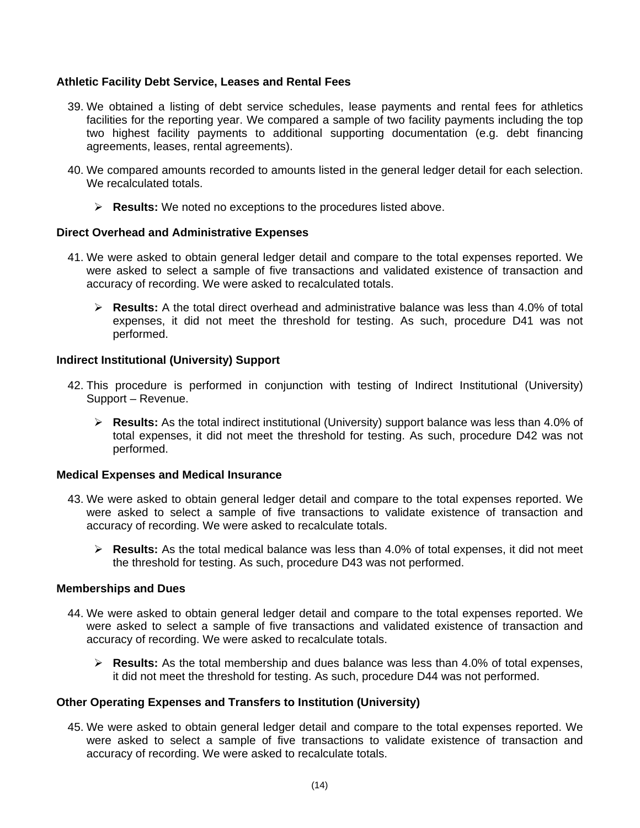## **Athletic Facility Debt Service, Leases and Rental Fees**

- 39. We obtained a listing of debt service schedules, lease payments and rental fees for athletics facilities for the reporting year. We compared a sample of two facility payments including the top two highest facility payments to additional supporting documentation (e.g. debt financing agreements, leases, rental agreements).
- 40. We compared amounts recorded to amounts listed in the general ledger detail for each selection. We recalculated totals.
	- **Results:** We noted no exceptions to the procedures listed above.

## **Direct Overhead and Administrative Expenses**

- 41. We were asked to obtain general ledger detail and compare to the total expenses reported. We were asked to select a sample of five transactions and validated existence of transaction and accuracy of recording. We were asked to recalculated totals.
	- **Results:** A the total direct overhead and administrative balance was less than 4.0% of total expenses, it did not meet the threshold for testing. As such, procedure D41 was not performed.

## **Indirect Institutional (University) Support**

- 42. This procedure is performed in conjunction with testing of Indirect Institutional (University) Support – Revenue.
	- **Results:** As the total indirect institutional (University) support balance was less than 4.0% of total expenses, it did not meet the threshold for testing. As such, procedure D42 was not performed.

#### **Medical Expenses and Medical Insurance**

- 43. We were asked to obtain general ledger detail and compare to the total expenses reported. We were asked to select a sample of five transactions to validate existence of transaction and accuracy of recording. We were asked to recalculate totals.
	- **Results:** As the total medical balance was less than 4.0% of total expenses, it did not meet the threshold for testing. As such, procedure D43 was not performed.

#### **Memberships and Dues**

- 44. We were asked to obtain general ledger detail and compare to the total expenses reported. We were asked to select a sample of five transactions and validated existence of transaction and accuracy of recording. We were asked to recalculate totals.
	- **Results:** As the total membership and dues balance was less than 4.0% of total expenses, it did not meet the threshold for testing. As such, procedure D44 was not performed.

#### **Other Operating Expenses and Transfers to Institution (University)**

45. We were asked to obtain general ledger detail and compare to the total expenses reported. We were asked to select a sample of five transactions to validate existence of transaction and accuracy of recording. We were asked to recalculate totals.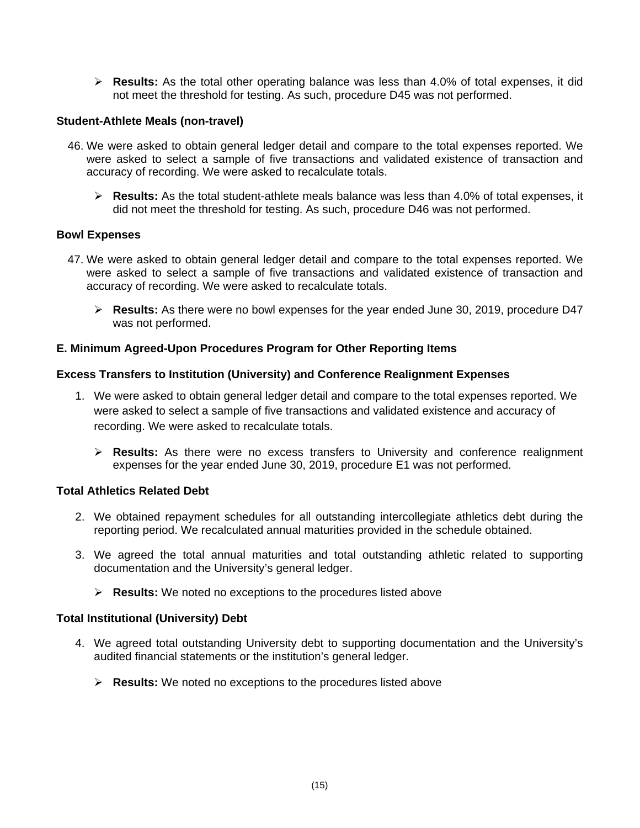**Results:** As the total other operating balance was less than 4.0% of total expenses, it did not meet the threshold for testing. As such, procedure D45 was not performed.

## **Student-Athlete Meals (non-travel)**

- 46. We were asked to obtain general ledger detail and compare to the total expenses reported. We were asked to select a sample of five transactions and validated existence of transaction and accuracy of recording. We were asked to recalculate totals.
	- **Results:** As the total student-athlete meals balance was less than 4.0% of total expenses, it did not meet the threshold for testing. As such, procedure D46 was not performed.

## **Bowl Expenses**

- 47. We were asked to obtain general ledger detail and compare to the total expenses reported. We were asked to select a sample of five transactions and validated existence of transaction and accuracy of recording. We were asked to recalculate totals.
	- **Results:** As there were no bowl expenses for the year ended June 30, 2019, procedure D47 was not performed.

## **E. Minimum Agreed-Upon Procedures Program for Other Reporting Items**

## **Excess Transfers to Institution (University) and Conference Realignment Expenses**

- 1. We were asked to obtain general ledger detail and compare to the total expenses reported. We were asked to select a sample of five transactions and validated existence and accuracy of recording. We were asked to recalculate totals.
	- **Results:** As there were no excess transfers to University and conference realignment expenses for the year ended June 30, 2019, procedure E1 was not performed.

#### **Total Athletics Related Debt**

- 2. We obtained repayment schedules for all outstanding intercollegiate athletics debt during the reporting period. We recalculated annual maturities provided in the schedule obtained.
- 3. We agreed the total annual maturities and total outstanding athletic related to supporting documentation and the University's general ledger.
	- **Results:** We noted no exceptions to the procedures listed above

#### **Total Institutional (University) Debt**

- 4. We agreed total outstanding University debt to supporting documentation and the University's audited financial statements or the institution's general ledger.
	- **Results:** We noted no exceptions to the procedures listed above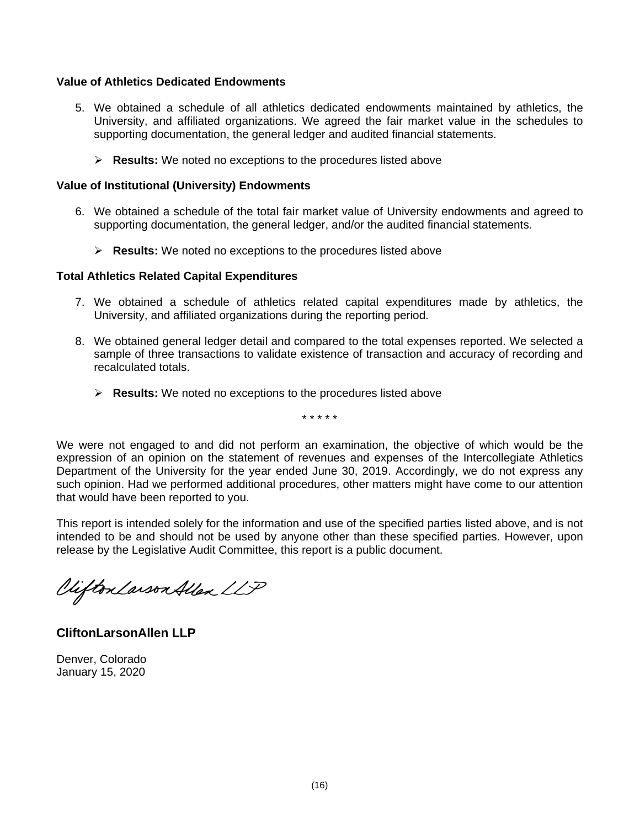## **Value of Athletics Dedicated Endowments**

- 5. We obtained a schedule of all athletics dedicated endowments maintained by athletics, the University, and affiliated organizations. We agreed the fair market value in the schedules to supporting documentation, the general ledger and audited financial statements.
	- **Results:** We noted no exceptions to the procedures listed above

#### **Value of Institutional (University) Endowments**

- 6. We obtained a schedule of the total fair market value of University endowments and agreed to supporting documentation, the general ledger, and/or the audited financial statements.
	- **Results:** We noted no exceptions to the procedures listed above

## **Total Athletics Related Capital Expenditures**

- 7. We obtained a schedule of athletics related capital expenditures made by athletics, the University, and affiliated organizations during the reporting period.
- 8. We obtained general ledger detail and compared to the total expenses reported. We selected a sample of three transactions to validate existence of transaction and accuracy of recording and recalculated totals.
	- **Results:** We noted no exceptions to the procedures listed above

\* \* \* \* \*

We were not engaged to and did not perform an examination, the objective of which would be the expression of an opinion on the statement of revenues and expenses of the Intercollegiate Athletics Department of the University for the year ended June 30, 2019. Accordingly, we do not express any such opinion. Had we performed additional procedures, other matters might have come to our attention that would have been reported to you.

This report is intended solely for the information and use of the specified parties listed above, and is not intended to be and should not be used by anyone other than these specified parties. However, upon release by the Legislative Audit Committee, this report is a public document.

Viifton Larson Allen LLP

**CliftonLarsonAllen LLP** 

Denver, Colorado January 15, 2020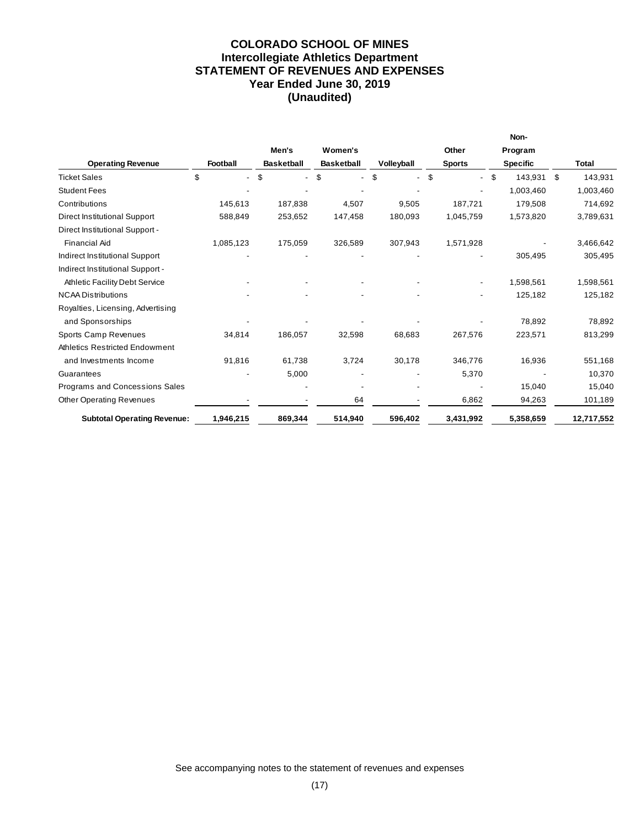## **COLORADO SCHOOL OF MINES Intercollegiate Athletics Department STATEMENT OF REVENUES AND EXPENSES Year Ended June 30, 2019 (Unaudited)**

|                                       |           |                      |                   |            |               | Non-            |               |
|---------------------------------------|-----------|----------------------|-------------------|------------|---------------|-----------------|---------------|
|                                       |           | Men's                | Women's           |            | Other         | Program         |               |
| <b>Operating Revenue</b>              | Football  | <b>Basketball</b>    | <b>Basketball</b> | Volleyball | <b>Sports</b> | <b>Specific</b> | Total         |
| <b>Ticket Sales</b>                   | \$        | \$<br>$\blacksquare$ | \$                | \$         | \$            | -S<br>143,931   | \$<br>143,931 |
| <b>Student Fees</b>                   |           |                      |                   |            |               | 1,003,460       | 1,003,460     |
| Contributions                         | 145,613   | 187,838              | 4,507             | 9,505      | 187,721       | 179,508         | 714,692       |
| Direct Institutional Support          | 588,849   | 253,652              | 147,458           | 180,093    | 1,045,759     | 1,573,820       | 3,789,631     |
| Direct Institutional Support -        |           |                      |                   |            |               |                 |               |
| <b>Financial Aid</b>                  | 1,085,123 | 175,059              | 326,589           | 307,943    | 1,571,928     |                 | 3,466,642     |
| Indirect Institutional Support        |           |                      |                   |            |               | 305,495         | 305,495       |
| Indirect Institutional Support -      |           |                      |                   |            |               |                 |               |
| <b>Athletic Facility Debt Service</b> |           |                      |                   |            |               | 1,598,561       | 1,598,561     |
| <b>NCAA Distributions</b>             |           |                      |                   |            |               | 125,182         | 125,182       |
| Royalties, Licensing, Advertising     |           |                      |                   |            |               |                 |               |
| and Sponsorships                      |           |                      |                   |            |               | 78,892          | 78,892        |
| Sports Camp Revenues                  | 34,814    | 186,057              | 32,598            | 68,683     | 267,576       | 223,571         | 813,299       |
| <b>Athletics Restricted Endowment</b> |           |                      |                   |            |               |                 |               |
| and Investments Income                | 91,816    | 61,738               | 3,724             | 30,178     | 346.776       | 16,936          | 551,168       |
| Guarantees                            |           | 5,000                |                   |            | 5,370         |                 | 10,370        |
| Programs and Concessions Sales        |           |                      |                   |            |               | 15,040          | 15,040        |
| <b>Other Operating Revenues</b>       |           |                      | 64                |            | 6,862         | 94,263          | 101,189       |
| <b>Subtotal Operating Revenue:</b>    | 1,946,215 | 869,344              | 514,940           | 596,402    | 3,431,992     | 5,358,659       | 12,717,552    |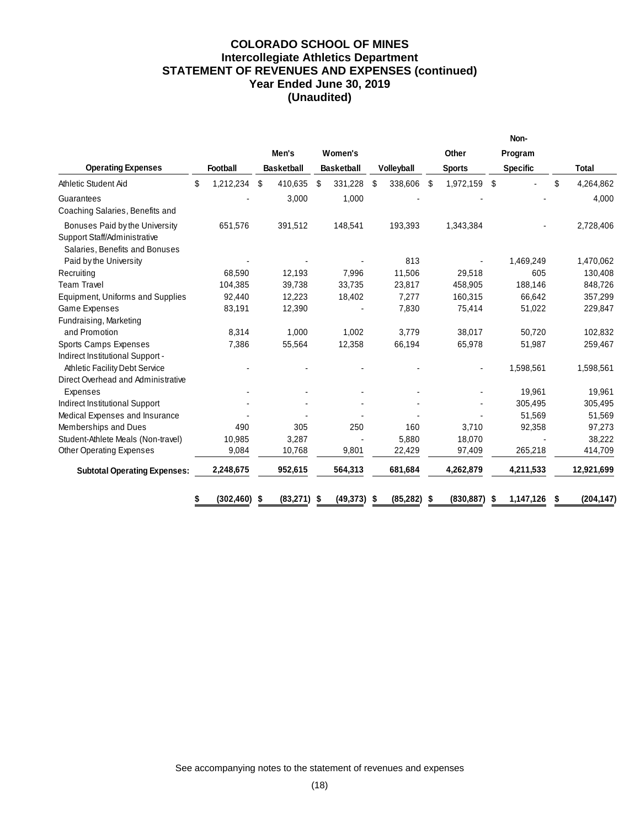## **COLORADO SCHOOL OF MINES Intercollegiate Athletics Department STATEMENT OF REVENUES AND EXPENSES (continued) Year Ended June 30, 2019 (Unaudited)**

|                                                                |                 |                   |                   |                |                    | Non-            |                 |
|----------------------------------------------------------------|-----------------|-------------------|-------------------|----------------|--------------------|-----------------|-----------------|
|                                                                |                 | Men's             | Women's           |                | Other              | Program         |                 |
| <b>Operating Expenses</b>                                      | Football        | <b>Basketball</b> | <b>Basketball</b> | Volleyball     | <b>Sports</b>      | <b>Specific</b> | <b>Total</b>    |
| Athletic Student Aid                                           | \$<br>1,212,234 | \$<br>410,635     | \$<br>331,228     | \$<br>338,606  | 1,972,159<br>-\$   | Ŝ.              | \$<br>4,264,862 |
| Guarantees                                                     |                 | 3,000             | 1,000             |                |                    |                 | 4,000           |
| Coaching Salaries, Benefits and                                |                 |                   |                   |                |                    |                 |                 |
| Bonuses Paid by the University                                 | 651,576         | 391,512           | 148,541           | 193,393        | 1,343,384          |                 | 2,728,406       |
| Support Staff/Administrative<br>Salaries, Benefits and Bonuses |                 |                   |                   |                |                    |                 |                 |
| Paid by the University                                         |                 |                   |                   | 813            |                    | 1,469,249       | 1,470,062       |
| Recruiting                                                     | 68,590          | 12.193            | 7,996             | 11.506         | 29,518             | 605             | 130,408         |
| <b>Team Travel</b>                                             | 104,385         | 39,738            | 33,735            | 23,817         | 458,905            | 188,146         | 848,726         |
| Equipment, Uniforms and Supplies                               | 92,440          | 12,223            | 18,402            | 7,277          | 160,315            | 66,642          | 357,299         |
| <b>Game Expenses</b>                                           | 83,191          | 12,390            |                   | 7,830          | 75,414             | 51,022          | 229,847         |
| Fundraising, Marketing                                         |                 |                   |                   |                |                    |                 |                 |
| and Promotion                                                  | 8,314           | 1,000             | 1,002             | 3,779          | 38,017             | 50,720          | 102,832         |
| Sports Camps Expenses                                          | 7,386           | 55,564            | 12,358            | 66,194         | 65,978             | 51,987          | 259,467         |
| Indirect Institutional Support -                               |                 |                   |                   |                |                    |                 |                 |
| <b>Athletic Facility Debt Service</b>                          |                 |                   |                   |                |                    | 1,598,561       | 1,598,561       |
| Direct Overhead and Administrative                             |                 |                   |                   |                |                    |                 |                 |
| Expenses                                                       |                 |                   |                   |                |                    | 19,961          | 19,961          |
| Indirect Institutional Support                                 |                 |                   |                   |                |                    | 305,495         | 305,495         |
| Medical Expenses and Insurance                                 |                 |                   |                   |                |                    | 51,569          | 51,569          |
| Memberships and Dues                                           | 490             | 305               | 250               | 160            | 3,710              | 92,358          | 97,273          |
| Student-Athlete Meals (Non-travel)                             | 10,985          | 3,287             |                   | 5,880          | 18,070             |                 | 38,222          |
| <b>Other Operating Expenses</b>                                | 9,084           | 10,768            | 9,801             | 22,429         | 97,409             | 265,218         | 414,709         |
| <b>Subtotal Operating Expenses:</b>                            | 2,248,675       | 952,615           | 564,313           | 681,684        | 4,262,879          | 4,211,533       | 12,921,699      |
|                                                                | (302, 460)      | (83, 271)<br>-\$  | (49, 373)<br>S    | (85,282)<br>\$ | (830, 887)<br>- \$ | 1,147,126<br>S  | (204, 147)      |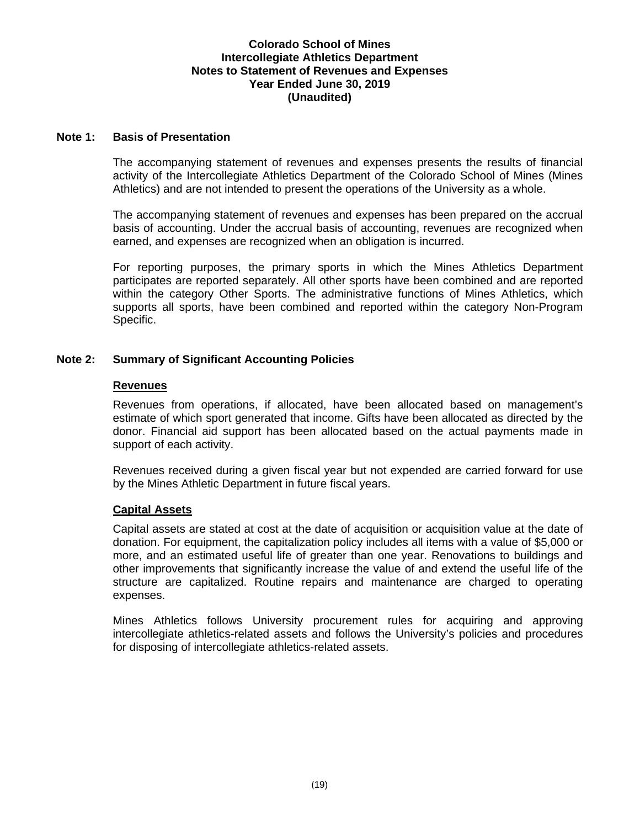#### **Note 1: Basis of Presentation**

The accompanying statement of revenues and expenses presents the results of financial activity of the Intercollegiate Athletics Department of the Colorado School of Mines (Mines Athletics) and are not intended to present the operations of the University as a whole.

The accompanying statement of revenues and expenses has been prepared on the accrual basis of accounting. Under the accrual basis of accounting, revenues are recognized when earned, and expenses are recognized when an obligation is incurred.

For reporting purposes, the primary sports in which the Mines Athletics Department participates are reported separately. All other sports have been combined and are reported within the category Other Sports. The administrative functions of Mines Athletics, which supports all sports, have been combined and reported within the category Non-Program Specific.

## **Note 2: Summary of Significant Accounting Policies**

#### **Revenues**

Revenues from operations, if allocated, have been allocated based on management's estimate of which sport generated that income. Gifts have been allocated as directed by the donor. Financial aid support has been allocated based on the actual payments made in support of each activity.

Revenues received during a given fiscal year but not expended are carried forward for use by the Mines Athletic Department in future fiscal years.

#### **Capital Assets**

Capital assets are stated at cost at the date of acquisition or acquisition value at the date of donation. For equipment, the capitalization policy includes all items with a value of \$5,000 or more, and an estimated useful life of greater than one year. Renovations to buildings and other improvements that significantly increase the value of and extend the useful life of the structure are capitalized. Routine repairs and maintenance are charged to operating expenses.

Mines Athletics follows University procurement rules for acquiring and approving intercollegiate athletics-related assets and follows the University's policies and procedures for disposing of intercollegiate athletics-related assets.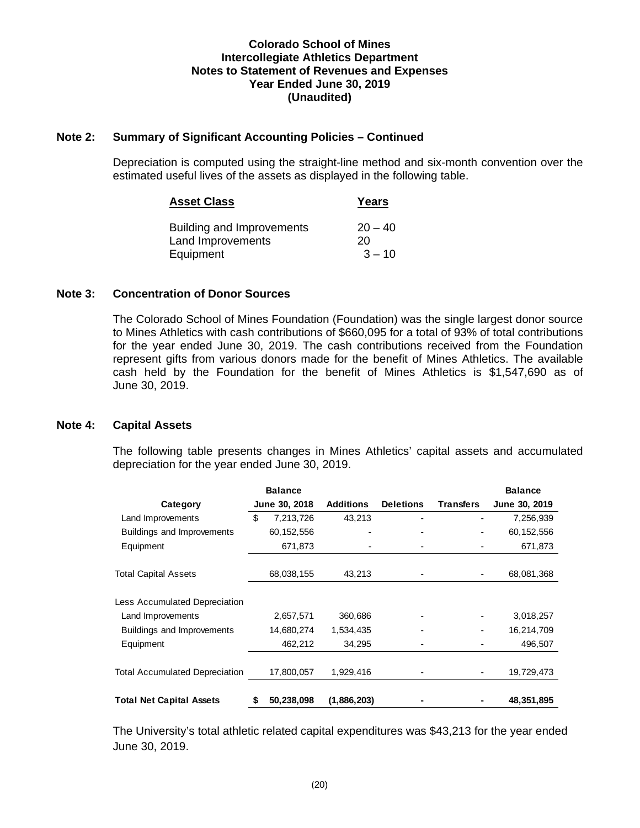## **Note 2: Summary of Significant Accounting Policies – Continued**

Depreciation is computed using the straight-line method and six-month convention over the estimated useful lives of the assets as displayed in the following table.

| <b>Asset Class</b>                                    | Years           |
|-------------------------------------------------------|-----------------|
| <b>Building and Improvements</b><br>Land Improvements | $20 - 40$<br>20 |
| Equipment                                             | $3 - 10$        |

## **Note 3: Concentration of Donor Sources**

The Colorado School of Mines Foundation (Foundation) was the single largest donor source to Mines Athletics with cash contributions of \$660,095 for a total of 93% of total contributions for the year ended June 30, 2019. The cash contributions received from the Foundation represent gifts from various donors made for the benefit of Mines Athletics. The available cash held by the Foundation for the benefit of Mines Athletics is \$1,547,690 as of June 30, 2019.

#### **Note 4: Capital Assets**

The following table presents changes in Mines Athletics' capital assets and accumulated depreciation for the year ended June 30, 2019.

|                                       |    | <b>Balance</b> |                  |                  |                  | <b>Balance</b> |
|---------------------------------------|----|----------------|------------------|------------------|------------------|----------------|
| Category                              |    | June 30, 2018  | <b>Additions</b> | <b>Deletions</b> | <b>Transfers</b> | June 30, 2019  |
| Land Improvements                     | \$ | 7,213,726      | 43,213           |                  |                  | 7,256,939      |
| Buildings and Improvements            |    | 60, 152, 556   |                  |                  |                  | 60,152,556     |
| Equipment                             |    | 671,873        |                  |                  |                  | 671,873        |
| <b>Total Capital Assets</b>           |    | 68,038,155     | 43,213           |                  |                  | 68,081,368     |
| Less Accumulated Depreciation         |    |                |                  |                  |                  |                |
| Land Improvements                     |    | 2,657,571      | 360,686          |                  |                  | 3,018,257      |
| Buildings and Improvements            |    | 14,680,274     | 1,534,435        |                  |                  | 16,214,709     |
| Equipment                             |    | 462,212        | 34,295           |                  |                  | 496,507        |
| <b>Total Accumulated Depreciation</b> |    | 17,800,057     | 1,929,416        |                  |                  | 19,729,473     |
| <b>Total Net Capital Assets</b>       | \$ | 50,238,098     | (1,886,203)      |                  |                  | 48,351,895     |

The University's total athletic related capital expenditures was \$43,213 for the year ended June 30, 2019.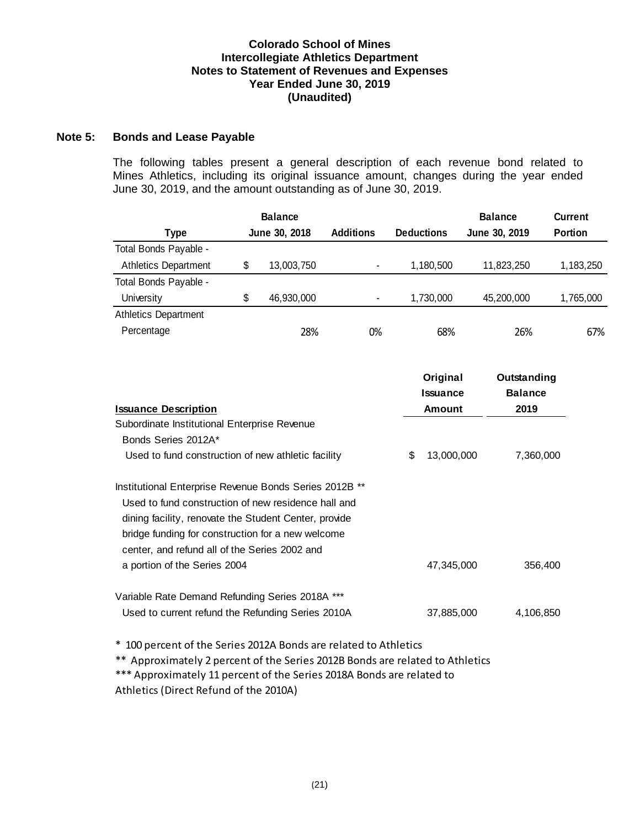## **Note 5: Bonds and Lease Payable**

The following tables present a general description of each revenue bond related to Mines Athletics, including its original issuance amount, changes during the year ended June 30, 2019, and the amount outstanding as of June 30, 2019.

|                                                                                                                                                                                                                                                                                                              | <b>Balance</b>   |                  |                             | <b>Balance</b>                | <b>Current</b> |
|--------------------------------------------------------------------------------------------------------------------------------------------------------------------------------------------------------------------------------------------------------------------------------------------------------------|------------------|------------------|-----------------------------|-------------------------------|----------------|
| <b>Type</b>                                                                                                                                                                                                                                                                                                  | June 30, 2018    | <b>Additions</b> | <b>Deductions</b>           | June 30, 2019                 | <b>Portion</b> |
| Total Bonds Payable -                                                                                                                                                                                                                                                                                        |                  |                  |                             |                               |                |
| <b>Athletics Department</b>                                                                                                                                                                                                                                                                                  | \$<br>13,003,750 |                  | 1,180,500                   | 11,823,250                    | 1,183,250      |
| Total Bonds Payable -                                                                                                                                                                                                                                                                                        |                  |                  |                             |                               |                |
| University                                                                                                                                                                                                                                                                                                   | \$<br>46,930,000 |                  | 1,730,000                   | 45,200,000                    | 1,765,000      |
| <b>Athletics Department</b>                                                                                                                                                                                                                                                                                  |                  |                  |                             |                               |                |
| Percentage                                                                                                                                                                                                                                                                                                   | 28%              | 0%               | 68%                         | 26%                           | 67%            |
|                                                                                                                                                                                                                                                                                                              |                  |                  | Original<br><b>Issuance</b> | Outstanding<br><b>Balance</b> |                |
| <b>Issuance Description</b>                                                                                                                                                                                                                                                                                  |                  |                  | <b>Amount</b>               | 2019                          |                |
| Subordinate Institutional Enterprise Revenue                                                                                                                                                                                                                                                                 |                  |                  |                             |                               |                |
| Bonds Series 2012A*                                                                                                                                                                                                                                                                                          |                  |                  |                             |                               |                |
| Used to fund construction of new athletic facility                                                                                                                                                                                                                                                           |                  |                  | \$                          | 13,000,000<br>7,360,000       |                |
| Institutional Enterprise Revenue Bonds Series 2012B **<br>Used to fund construction of new residence hall and<br>dining facility, renovate the Student Center, provide<br>bridge funding for construction for a new welcome<br>center, and refund all of the Series 2002 and<br>a portion of the Series 2004 |                  |                  |                             | 47,345,000                    | 356,400        |
| Variable Rate Demand Refunding Series 2018A ***                                                                                                                                                                                                                                                              |                  |                  |                             |                               |                |
| Used to current refund the Refunding Series 2010A                                                                                                                                                                                                                                                            |                  |                  |                             | 37,885,000                    | 4,106,850      |
| * 100 percent of the Series 2012A Bonds are related to Athletics                                                                                                                                                                                                                                             |                  |                  |                             |                               |                |
| Approximately 2 percent of the Series 2012B Bonds are related to Athletics<br>**<br>*** Approximately 11 percent of the Series 2018A Bonds are related to                                                                                                                                                    |                  |                  |                             |                               |                |
| Athletics (Direct Refund of the 2010A)                                                                                                                                                                                                                                                                       |                  |                  |                             |                               |                |